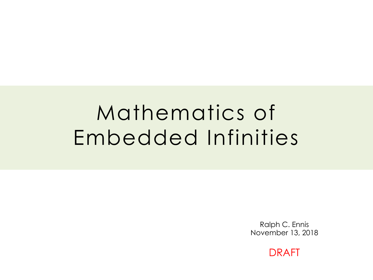# Mathematics of Embedded Infinities

Ralph C. Ennis November 13, 2018

DRAFT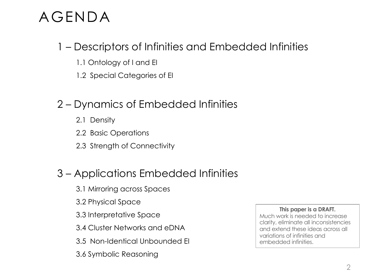# AGENDA

## 1 – Descriptors of Infinities and Embedded Infinities

- 1.1 Ontology of I and EI
- 1.2 Special Categories of EI

## 2 – Dynamics of Embedded Infinities

- 2.1 Density
- 2.2 Basic Operations
- 2.3 Strength of Connectivity

## 3 – Applications Embedded Infinities

- 3.1 Mirroring across Spaces
- 3.2 Physical Space
- 3.3 Interpretative Space
- 3.4 Cluster Networks and eDNA
- 3.5 Non-Identical Unbounded EI
- 3.6 Symbolic Reasoning

#### **This paper is a DRAFT.**

Much work is needed to increase clarity, eliminate all inconsistencies and extend these ideas across all variations of infinities and embedded infinities.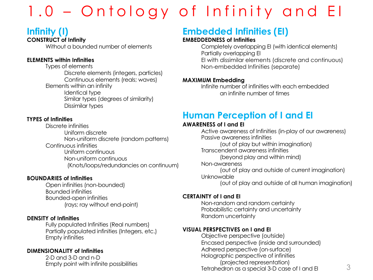# 1.0 – Ontology of Infinity and EI

## **Infinity (I)**

#### **CONSTRUCT of Infinity**

Without a bounded number of elements

#### **ELEMENTS within Infinities**

Types of elements Discrete elements (integers, particles) Continuous elements (reals; waves) Elements within an infinity Identical type Similar types (degrees of similarity) Dissimilar types

#### **TYPES of Infinities**

Discrete infinities Uniform discrete Non-uniform discrete (random patterns) Continuous infinities Uniform continuous Non-uniform continuous (Knots/loops/redundancies on continuum)

#### **BOUNDARIES of Infinities**

Open infinities (non-bounded) Bounded infinities Bounded-open infinities (rays; ray without end-point)

#### **DENSITY of Infinities**

Fully populated Infinities (Real numbers) Partially populated infinities (Integers, etc.) Empty infinities

#### **DIMENSIONALITY of Infinities**

2-D and 3-D and n-D

## **Embedded Infinities (EI)**

#### **EMBEDDEDNESS of Infinities**

Completely overlapping EI (with identical elements) Partially overlapping EI EI with dissimilar elements (discrete and continuous) Non-embedded Infinities (separate)

#### **MAXIMUM Embedding**

Infinite number of infinities with each embedded an infinite number of times

## **Human Perception of I and EI**

#### **AWARENESS of I and EI**

Active awareness of Infinities (in-play of our awareness) Passive awareness infinities (out of play but within imagination) Transcendent awareness infinities (beyond play and within mind) Non-awareness (out of play and outside of current imagination) Unknowable (out of play and outside of all human imagination)

#### **CERTAINTY of I and EI**

Non-random and random certainty Probabilistic certainty and uncertainty Random uncertainty

#### **VISUAL PERSPECTIVES on I and EI**

Empty point with infinite possibilities 3 Tetrahedron as a special 3-D case of I and EIObjective perspective (outside) Encased perspective (inside and surrounded) Adhered perspective (on-surface) Holographic perspective of infinities (projected representation)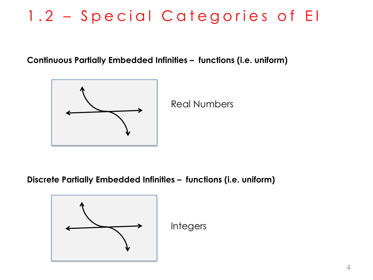# 1.2 – Special Categories of EI

**Continuous Partially Embedded Infinities – functions (i.e. uniform)**



Real Numbers

**Discrete Partially Embedded Infinities – functions (i.e. uniform)**

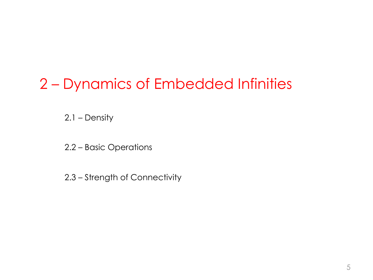# 2 – Dynamics of Embedded Infinities

2.1 – Density

- 2.2 Basic Operations
- 2.3 Strength of Connectivity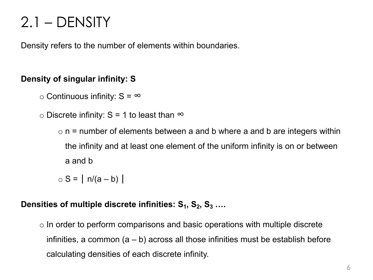# 2.1 – DENSITY

Density refers to the number of elements within boundaries.

### **Density of singular infinity: S**

 $\circ$  Continuous infinity: S =  $\infty$ 

 $\circ$  Discrete infinity: S = 1 to least than  $\infty$ 

 $\circ$  n = number of elements between a and b where a and b are integers within the infinity and at least one element of the uniform infinity is on or between a and b

 $\circ$  S = | n/(a – b) |

### Densities of multiple discrete infinities: S<sub>1</sub>, S<sub>2</sub>, S<sub>3</sub> ....

 $\circ$  In order to perform comparisons and basic operations with multiple discrete infinities, a common  $(a - b)$  across all those infinities must be establish before calculating densities of each discrete infinity.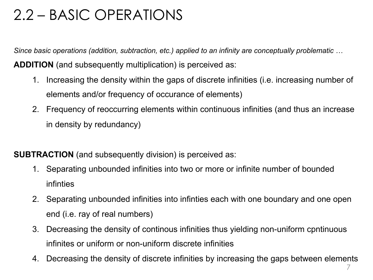# 2.2 – BASIC OPERATIONS

*Since basic operations (addition, subtraction, etc.) applied to an infinity are conceptually problematic …*

**ADDITION** (and subsequently multiplication) is perceived as:

- 1. Increasing the density within the gaps of discrete infinities (i.e. increasing number of elements and/or frequency of occurance of elements)
- 2. Frequency of reoccurring elements within continuous infinities (and thus an increase in density by redundancy)

**SUBTRACTION** (and subsequently division) is perceived as:

- 1. Separating unbounded infinities into two or more or infinite number of bounded infinties
- 2. Separating unbounded infinities into infinties each with one boundary and one open end (i.e. ray of real numbers)
- 3. Decreasing the density of continous infinities thus yielding non-uniform cpntinuous infinites or uniform or non-uniform discrete infinities
- 4. Decreasing the density of discrete infinities by increasing the gaps between elements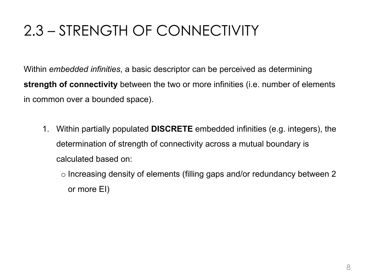# 2.3 – STRENGTH OF CONNECTIVITY

Within *embedded infinities*, a basic descriptor can be perceived as determining **strength of connectivity** between the two or more infinities (i.e. number of elements in common over a bounded space).

- 1. Within partially populated **DISCRETE** embedded infinities (e.g. integers), the determination of strength of connectivity across a mutual boundary is calculated based on:
	- o Increasing density of elements (filling gaps and/or redundancy between 2 or more EI)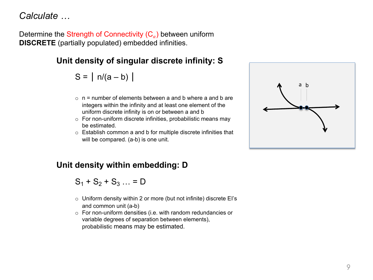*Calculate …*

Determine the Strength of Connectivity  $(C_{\alpha})$  between uniform **DISCRETE** (partially populated) embedded infinities.

### **Unit density of singular discrete infinity: S**

 $S = | n/(a - b) |$ 

- $\circ$  n = number of elements between a and b where a and b are integers within the infinity and at least one element of the uniform discrete infinity is on or between a and b
- $\circ$  For non-uniform discrete infinities, probabilistic means may be estimated.
- o Establish common a and b for multiple discrete infinities that will be compared. (a-b) is one unit.



### **Unit density within embedding: D**

 $S_1 + S_2 + S_3 ... = D$ 

- $\circ$  Uniform density within 2 or more (but not infinite) discrete EI's and common unit (a-b)
- o For non-uniform densities (i.e. with random redundancies or variable degrees of separation between elements), probabilistic means may be estimated.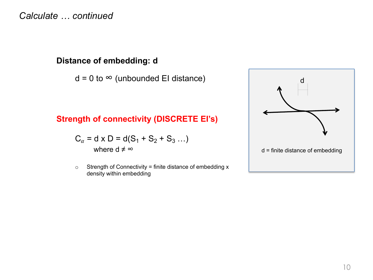*Calculate … continued*

### **Distance of embedding: d**

 $d = 0$  to  $\infty$  (unbounded EI distance)

### **Strength of connectivity (DISCRETE EI's)**

$$
C_{\alpha} = d \times D = d(S_1 + S_2 + S_3 ...)
$$

where  $d \neq \infty$ 

 $\circ$  Strength of Connectivity = finite distance of embedding x density within embedding

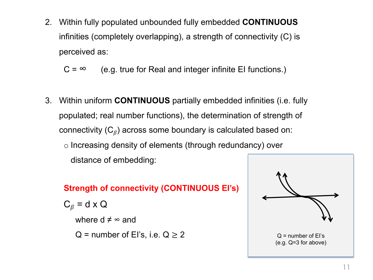2. Within fully populated unbounded fully embedded **CONTINUOUS** infinities (completely overlapping), a strength of connectivity (C) is perceived as:

$$
C = \infty
$$
 (e.g. true for Real and integer infinite El functions.)

3. Within uniform **CONTINUOUS** partially embedded infinities (i.e. fully populated; real number functions), the determination of strength of connectivity  $(C_{\beta})$  across some boundary is calculated based on: o Increasing density of elements (through redundancy) over distance of embedding:

### **Strength of connectivity (CONTINUOUS EI's)**

 $C_{\beta}$  = d x Q

where  $d \neq \infty$  and

 $Q$  = number of El's, i.e.  $Q \ge 2$ 

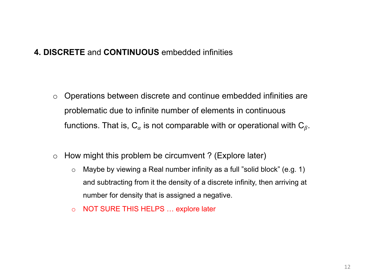### **4. DISCRETE** and **CONTINUOUS** embedded infinities

- o Operations between discrete and continue embedded infinities are problematic due to infinite number of elements in continuous functions. That is,  $C_{\alpha}$  is not comparable with or operational with  $C_{\beta}$ .
- $\circ$  How might this problem be circumvent ? (Explore later)
	- o Maybe by viewing a Real number infinity as a full "solid block" (e.g. 1) and subtracting from it the density of a discrete infinity, then arriving at number for density that is assigned a negative.
	- o NOT SURE THIS HELPS … explore later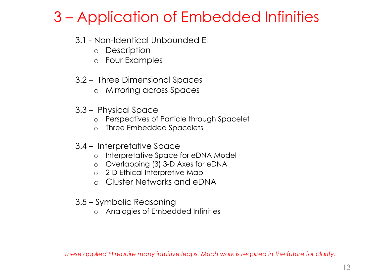# 3 – Application of Embedded Infinities

### 3.1 - Non-Identical Unbounded EI

- o Description
- o Four Examples
- 3.2 Three Dimensional Spaces
	- o Mirroring across Spaces
- 3.3 Physical Space
	- o Perspectives of Particle through Spacelet
	- o Three Embedded Spacelets
- 3.4 Interpretative Space
	- o Interpretative Space for eDNA Model
	- o Overlapping (3) 3-D Axes for eDNA
	- o 2-D Ethical Interpretive Map
	- o Cluster Networks and eDNA
- 3.5 Symbolic Reasoning
	- o Analogies of Embedded Infinities

*These applied EI require many intuitive leaps. Much work is required in the future for clarity.*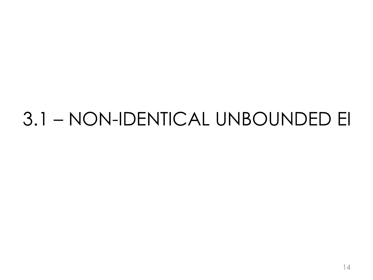# 3.1 – NON-IDENTICAL UNBOUNDED EI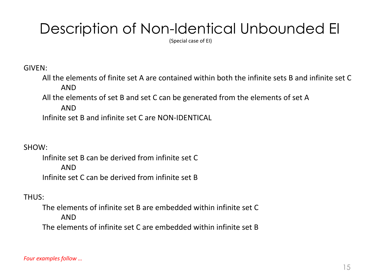# Description of Non-Identical Unbounded EI

(Special case of EI)

GIVEN:

All the elements of finite set A are contained within both the infinite sets B and infinite set C AND

All the elements of set B and set C can be generated from the elements of set A

AND

Infinite set B and infinite set C are NON-IDENTICAL

SHOW:

Infinite set B can be derived from infinite set C AND Infinite set C can be derived from infinite set B

### THUS:

The elements of infinite set B are embedded within infinite set C AND The elements of infinite set C are embedded within infinite set B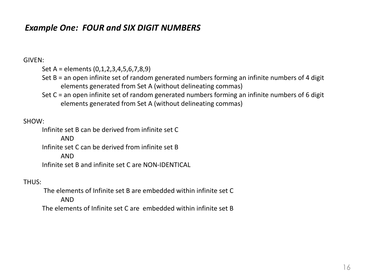### *Example One: FOUR and SIX DIGIT NUMBERS*

#### GIVEN:

Set A = elements (0,1,2,3,4,5,6,7,8,9)

- Set B = an open infinite set of random generated numbers forming an infinite numbers of 4 digit elements generated from Set A (without delineating commas)
- Set C = an open infinite set of random generated numbers forming an infinite numbers of 6 digit elements generated from Set A (without delineating commas)

#### SHOW:

Infinite set B can be derived from infinite set C AND Infinite set C can be derived from infinite set B AND Infinite set B and infinite set C are NON-IDENTICAL

#### THUS:

The elements of Infinite set B are embedded within infinite set C AND The elements of Infinite set C are embedded within infinite set B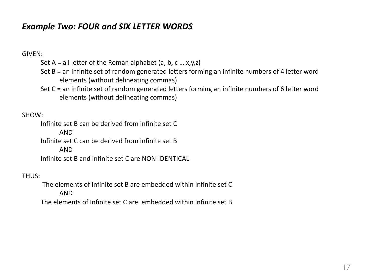### *Example Two: FOUR and SIX LETTER WORDS*

#### GIVEN:

- Set  $A =$  all letter of the Roman alphabet (a, b, c ... x,y,z)
- Set B = an infinite set of random generated letters forming an infinite numbers of 4 letter word elements (without delineating commas)
- Set C = an infinite set of random generated letters forming an infinite numbers of 6 letter word elements (without delineating commas)

#### SHOW:

Infinite set B can be derived from infinite set C AND Infinite set C can be derived from infinite set B AND Infinite set B and infinite set C are NON-IDENTICAL

#### THUS:

The elements of Infinite set B are embedded within infinite set C AND

The elements of Infinite set C are embedded within infinite set B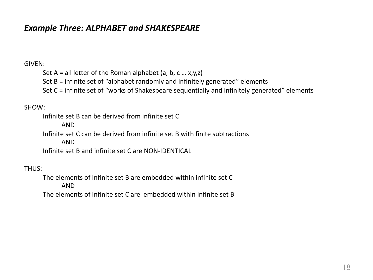### *Example Three: ALPHABET and SHAKESPEARE*

#### GIVEN:

Set A = all letter of the Roman alphabet (a, b, c ...  $x,y,z$ ) Set B = infinite set of "alphabet randomly and infinitely generated" elements

Set C = infinite set of "works of Shakespeare sequentially and infinitely generated" elements

#### SHOW:

Infinite set B can be derived from infinite set C AND Infinite set C can be derived from infinite set B with finite subtractions AND Infinite set B and infinite set C are NON-IDENTICAL

#### THUS:

The elements of Infinite set B are embedded within infinite set C AND The elements of Infinite set C are embedded within infinite set B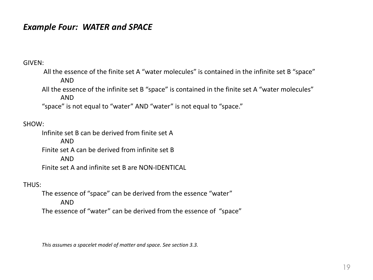### *Example Four: WATER and SPACE*

GIVEN:

All the essence of the finite set A "water molecules" is contained in the infinite set B "space" AND

All the essence of the infinite set B "space" is contained in the finite set A "water molecules" AND

"space" is not equal to "water" AND "water" is not equal to "space."

#### SHOW:

Infinite set B can be derived from finite set A AND Finite set A can be derived from infinite set B AND Finite set A and infinite set B are NON-IDENTICAL

#### THUS:

The essence of "space" can be derived from the essence "water" AND The essence of "water" can be derived from the essence of "space"

*This assumes a spacelet model of matter and space. See section 3.3.*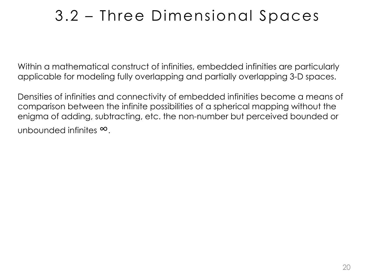# 3.2 – Three Dimensional Spaces

Within a mathematical construct of infinities, embedded infinities are particularly applicable for modeling fully overlapping and partially overlapping 3-D spaces.

Densities of infinities and connectivity of embedded infinities become a means of comparison between the infinite possibilities of a spherical mapping without the enigma of adding, subtracting, etc. the non-number but perceived bounded or unbounded infinites ∞.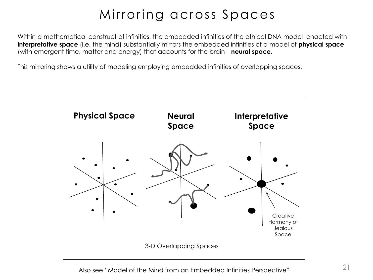## Mirroring across Spaces

Within a mathematical construct of infinities, the embedded infinities of the ethical DNA model enacted with **interpretative space** (i.e. the mind) substantially mirrors the embedded infinities of a model of **physical space**  (with emergent time, matter and energy) that accounts for the brain—**neural space**.

This mirroring shows a utility of modeling employing embedded infinities of overlapping spaces.

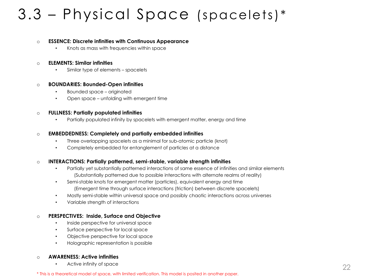# 3.3 – Physical Space (spacelets)\*

#### o **ESSENCE: Discrete infinities with Continuous Appearance**

• Knots as mass with frequencies within space

#### o **ELEMENTS: Similar infinities**

• Similar type of elements – spacelets

#### o **BOUNDARIES: Bounded-Open infinities**

- Bounded space originated
- Open space unfolding with emergent time

#### o **FULLNESS: Partially populated infinities**

• Partially populated infinity by spacelets with emergent matter, energy and time

#### o **EMBEDDEDNESS: Completely and partially embedded infinities**

- Three overlapping spacelets as a minimal for sub-atomic particle (knot)
- Completely embedded for entanglement of particles at a distance

#### o **INTERACTIONS: Partially patterned, semi-stable, variable strength infinities**

- Partially yet substantially patterned interactions of same essence of infinities and similar elements (Substantially patterned due to possible interactions with alternate realms of reality)
- Semi-stable knots for emergent matter (particles), equivalent energy and time (Emergent time through surface interactions (friction) between discrete spacelets)
- Mostly semi-stable within universal space and possibly chaotic interactions across universes
- Variable strength of interactions

#### o **PERSPECTIVES: Inside, Surface and Objective**

- Inside perspective for universal space
- Surface perspective for local space
- Objective perspective for local space
- Holographic representation is possible

#### o **AWARENESS: Active infinities**

• Active infinity of space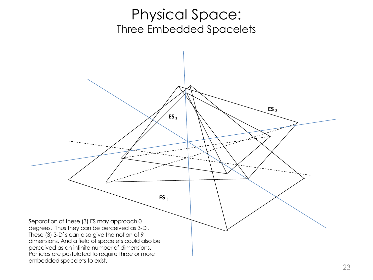## Physical Space: Three Embedded Spacelets

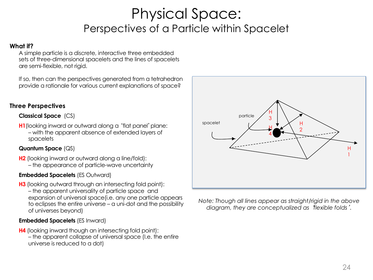## Physical Space: Perspectives of a Particle within Spacelet

#### **What if?**

A simple particle is a discrete, interactive three embedded sets of three-dimensional spacelets and the lines of spacelets are semi-flexible, not rigid.

If so, then can the perspectives generated from a tetrahedron provide a rationale for various current explanations of space?

#### **Three Perspectives**

#### **Classical Space** (CS)

**H1** (looking inward or outward along a 'flat panel' plane: – with the apparent absence of extended layers of spacelets

#### **Quantum Space** (QS)

**H2** (looking inward or outward along a line/fold): – the appearance of particle-wave uncertainty

#### **Embedded Spacelets** (ES Outward)

**H3** (looking outward through an intersecting fold point): – the apparent universality of particle space and expansion of universal space(i.e. any one particle appears to eclipses the entire universe – a uni-dot and the possibility of universes beyond)

#### **Embedded Spacelets** (ES Inward)

**H4** (looking inward though an intersecting fold point): – the apparent collapse of universal space (I.e. the entire universe is reduced to a dot)



*Note: Though all lines appear as straight/rigid in the above diagram, they are conceptualized as* '*flexible folds*'*.*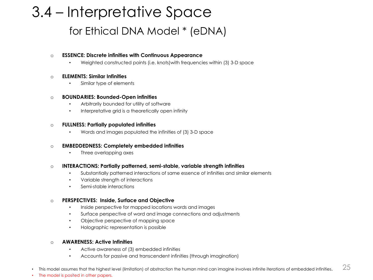# 3.4 – Interpretative Space for Ethical DNA Model \* (eDNA)

#### o **ESSENCE: Discrete infinities with Continuous Appearance**

• Weighted constructed points (i.e. knots)with frequencies within (3) 3-D space

#### o **ELEMENTS: Similar Infinities**

Similar type of elements

#### o **BOUNDARIES: Bounded-Open infinities**

- Arbitrarily bounded for utility of software
- Interpretative grid is a theoretically open infinity

#### o **FULLNESS: Partially populated infinities**

• Words and images populated the infinities of (3) 3-D space

#### o **EMBEDDEDNESS: Completely embedded infinities**

• Three overlapping axes

#### o **INTERACTIONS: Partially patterned, semi-stable, variable strength infinities**

- Substantially patterned interactions of same essence of infinities and similar elements
- Variable strength of interactions
- Semi-stable interactions

#### o **PERSPECTIVES: Inside, Surface and Objective**

- Inside perspective for mapped locations words and images
- Surface perspective of word and image connections and adjustments
- Objective perspective of mapping space
- Holographic representation is possible

#### o **AWARENESS: Active Infinities**

- Active awareness of (3) embedded infinities
- Accounts for passive and transcendent infinities (through imagination)
- This model assumes that the highest level (limitation) of abstraction the human mind can imagine involves infinite iterations of embedded infinities.
- The model is posited in other papers.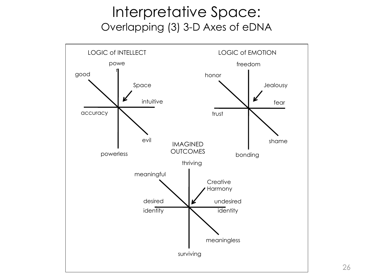## Interpretative Space: Overlapping (3) 3-D Axes of eDNA

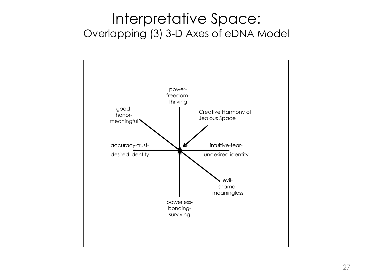## Interpretative Space: Overlapping (3) 3-D Axes of eDNA Model

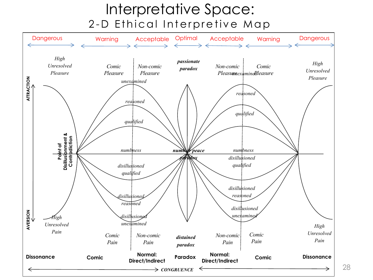## Interpretative Space: 2 - D Ethical Interpretive Map



28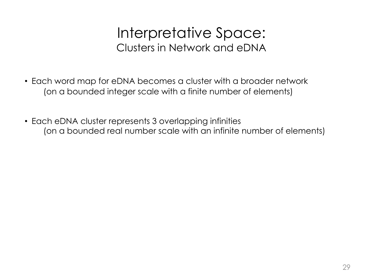## Interpretative Space: Clusters in Network and eDNA

- Each word map for eDNA becomes a cluster with a broader network (on a bounded integer scale with a finite number of elements)
- Each eDNA cluster represents 3 overlapping infinities (on a bounded real number scale with an infinite number of elements)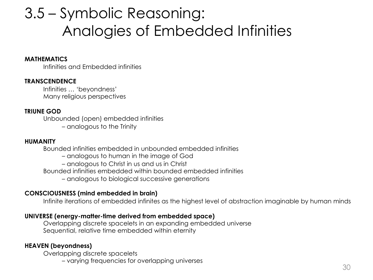# 3.5 – Symbolic Reasoning: Analogies of Embedded Infinities

#### **MATHEMATICS**

Infinities and Embedded infinities

#### **TRANSCENDENCE**

Infinities … 'beyondness' Many religious perspectives

#### **TRIUNE GOD**

Unbounded (open) embedded infinities

– analogous to the Trinity

#### **HUMANITY**

Bounded infinities embedded in unbounded embedded infinities

- analogous to human in the image of God
- analogous to Christ in us and us in Christ

Bounded infinities embedded within bounded embedded infinities

– analogous to biological successive generations

#### **CONSCIOUSNESS (mind embedded in brain)**

Infinite iterations of embedded infinites as the highest level of abstraction imaginable by human minds

#### **UNIVERSE (energy-matter-time derived from embedded space)**

Overlapping discrete spacelets in an expanding embedded universe Sequential, relative time embedded within eternity

#### **HEAVEN (beyondness)**

Overlapping discrete spacelets

– varying frequencies for overlapping universes